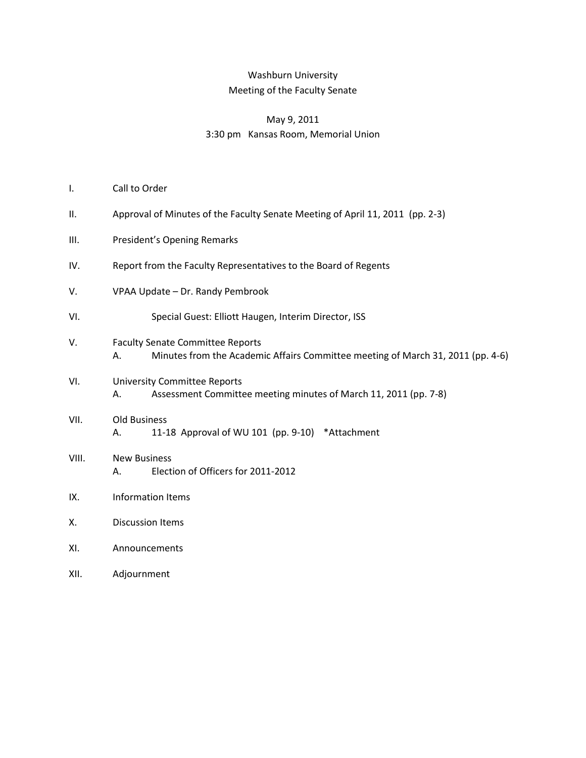# Washburn University Meeting of the Faculty Senate

## May 9, 2011 3:30 pm Kansas Room, Memorial Union

- I. Call to Order
- II. Approval of Minutes of the Faculty Senate Meeting of April 11, 2011 (pp. 2-3)
- III. President's Opening Remarks
- IV. Report from the Faculty Representatives to the Board of Regents
- V. VPAA Update Dr. Randy Pembrook
- VI. Special Guest: Elliott Haugen, Interim Director, ISS
- V. Faculty Senate Committee Reports
	- A. Minutes from the Academic Affairs Committee meeting of March 31, 2011 (pp. 4-6)
- VI. University Committee Reports A. Assessment Committee meeting minutes of March 11, 2011 (pp. 7-8)
- VII. Old Business A. 11-18 Approval of WU 101 (pp. 9-10) \*Attachment
- VIII. New Business A. Election of Officers for 2011-2012
- IX. Information Items
- X. Discussion Items
- XI. Announcements
- XII. Adjournment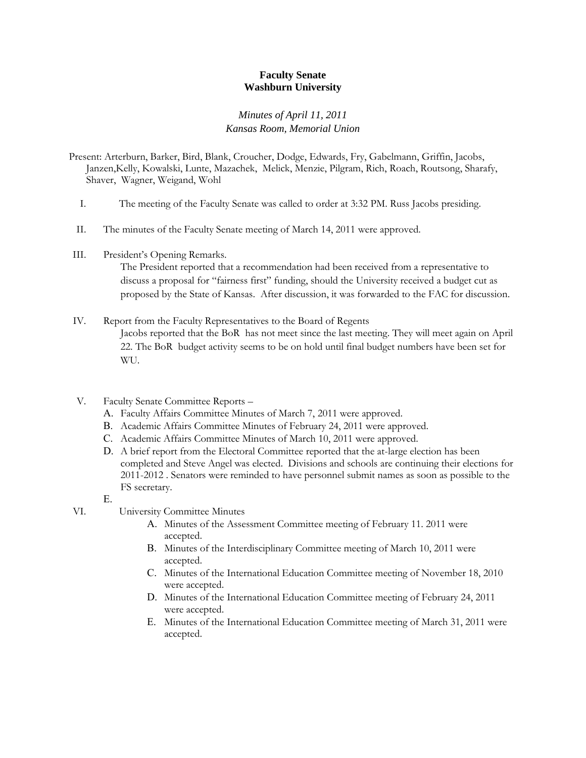### **Faculty Senate Washburn University**

### *Minutes of April 11, 2011 Kansas Room, Memorial Union*

Present: Arterburn, Barker, Bird, Blank, Croucher, Dodge, Edwards, Fry, Gabelmann, Griffin, Jacobs, Janzen,Kelly, Kowalski, Lunte, Mazachek, Melick, Menzie, Pilgram, Rich, Roach, Routsong, Sharafy, Shaver, Wagner, Weigand, Wohl

- I. The meeting of the Faculty Senate was called to order at 3:32 PM. Russ Jacobs presiding.
- II. The minutes of the Faculty Senate meeting of March 14, 2011 were approved.
- III. President's Opening Remarks.

The President reported that a recommendation had been received from a representative to discuss a proposal for "fairness first" funding, should the University received a budget cut as proposed by the State of Kansas. After discussion, it was forwarded to the FAC for discussion.

## IV. Report from the Faculty Representatives to the Board of Regents Jacobs reported that the BoR has not meet since the last meeting. They will meet again on April 22. The BoR budget activity seems to be on hold until final budget numbers have been set for WU.

- V. Faculty Senate Committee Reports
	- A. Faculty Affairs Committee Minutes of March 7, 2011 were approved.
	- B. Academic Affairs Committee Minutes of February 24, 2011 were approved.
	- C. Academic Affairs Committee Minutes of March 10, 2011 were approved.
	- D. A brief report from the Electoral Committee reported that the at-large election has been completed and Steve Angel was elected. Divisions and schools are continuing their elections for 2011-2012 . Senators were reminded to have personnel submit names as soon as possible to the FS secretary.

E.

- VI. University Committee Minutes
	- A. Minutes of the Assessment Committee meeting of February 11. 2011 were accepted.
	- B. Minutes of the Interdisciplinary Committee meeting of March 10, 2011 were accepted.
	- C. Minutes of the International Education Committee meeting of November 18, 2010 were accepted.
	- D. Minutes of the International Education Committee meeting of February 24, 2011 were accepted.
	- E. Minutes of the International Education Committee meeting of March 31, 2011 were accepted.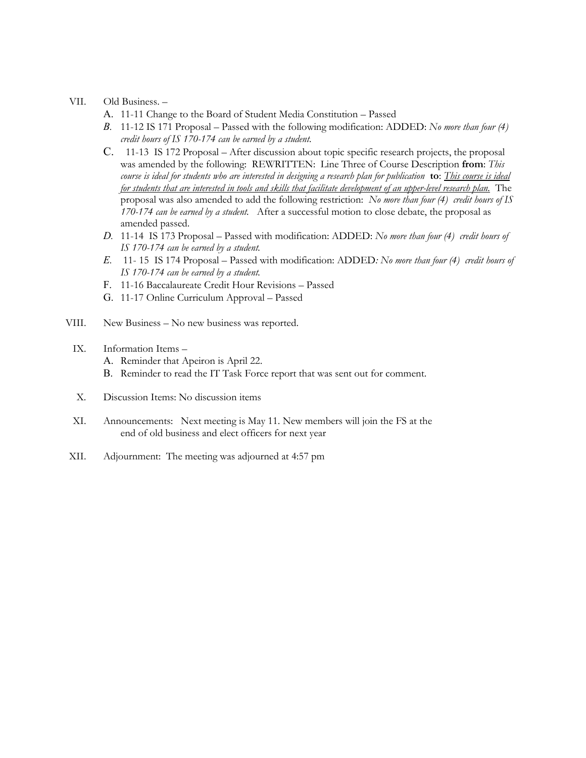#### VII. Old Business. –

- A. 11-11 Change to the Board of Student Media Constitution Passed
- *B.* 11-12 IS 171 Proposal Passed with the following modification: ADDED: *No more than four (4) credit hours of IS 170-174 can be earned by a student.*
- C.11-13 IS 172 Proposal After discussion about topic specific research projects, the proposal was amended by the following: REWRITTEN: Line Three of Course Description **from**: *This course is ideal for students who are interested in designing a research plan for publication* **to**: *This course is ideal for students that are interested in tools and skills that facilitate development of an upper-level research plan.* The proposal was also amended to add the following restriction: *No more than four (4) credit hours of IS 170-174 can be earned by a student.* After a successful motion to close debate, the proposal as amended passed.
- *D.* 11-14 IS 173 Proposal Passed with modification: ADDED: *No more than four (4) credit hours of IS 170-174 can be earned by a student.*
- *E.* 11- 15 IS 174 Proposal Passed with modification: ADDED*: No more than four (4) credit hours of IS 170-174 can be earned by a student.*
- F. 11-16 Baccalaureate Credit Hour Revisions Passed
- G. 11-17 Online Curriculum Approval Passed
- VIII. New Business No new business was reported.
- IX. Information Items
	- A. Reminder that Apeiron is April 22.
	- B. Reminder to read the IT Task Force report that was sent out for comment.
- X. Discussion Items: No discussion items
- XI. Announcements: Next meeting is May 11. New members will join the FS at the end of old business and elect officers for next year
- XII. Adjournment: The meeting was adjourned at 4:57 pm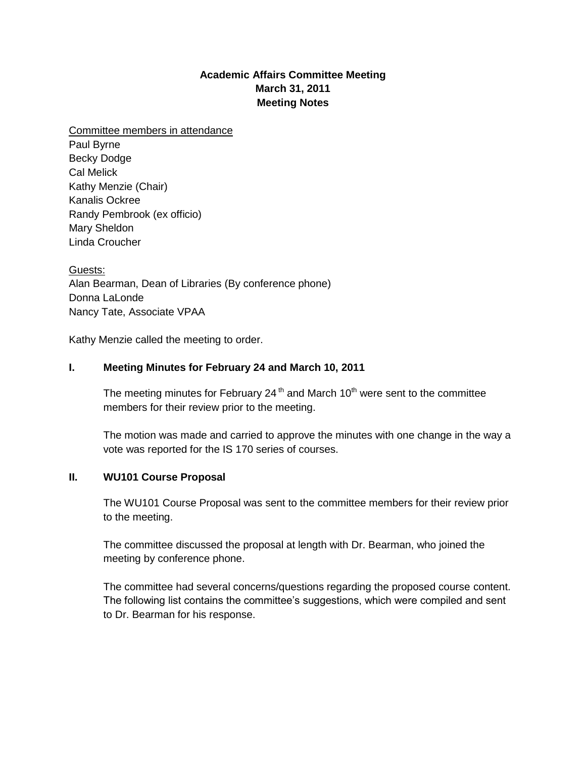# **Academic Affairs Committee Meeting March 31, 2011 Meeting Notes**

Committee members in attendance Paul Byrne Becky Dodge Cal Melick Kathy Menzie (Chair) Kanalis Ockree Randy Pembrook (ex officio) Mary Sheldon Linda Croucher

Guests: Alan Bearman, Dean of Libraries (By conference phone) Donna LaLonde Nancy Tate, Associate VPAA

Kathy Menzie called the meeting to order.

# **I. Meeting Minutes for February 24 and March 10, 2011**

The meeting minutes for February 24<sup>th</sup> and March 10<sup>th</sup> were sent to the committee members for their review prior to the meeting.

The motion was made and carried to approve the minutes with one change in the way a vote was reported for the IS 170 series of courses.

### **II. WU101 Course Proposal**

The WU101 Course Proposal was sent to the committee members for their review prior to the meeting.

The committee discussed the proposal at length with Dr. Bearman, who joined the meeting by conference phone.

The committee had several concerns/questions regarding the proposed course content. The following list contains the committee's suggestions, which were compiled and sent to Dr. Bearman for his response.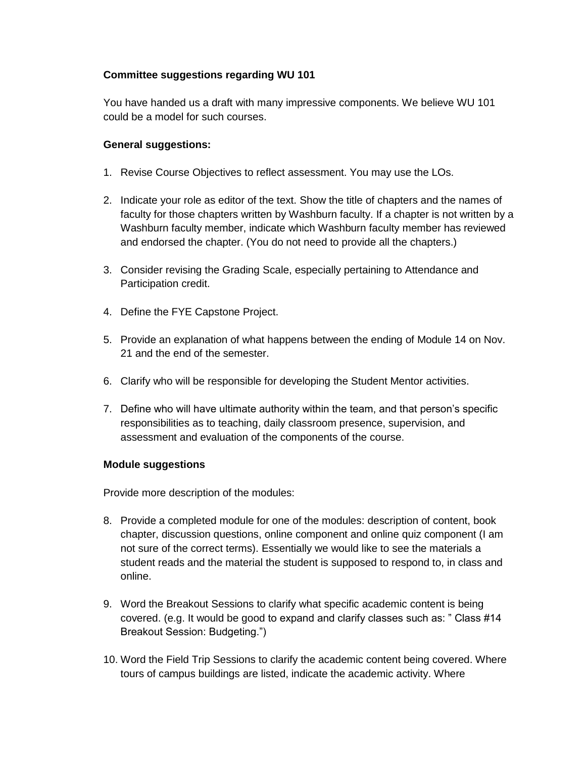# **Committee suggestions regarding WU 101**

You have handed us a draft with many impressive components. We believe WU 101 could be a model for such courses.

## **General suggestions:**

- 1. Revise Course Objectives to reflect assessment. You may use the LOs.
- 2. Indicate your role as editor of the text. Show the title of chapters and the names of faculty for those chapters written by Washburn faculty. If a chapter is not written by a Washburn faculty member, indicate which Washburn faculty member has reviewed and endorsed the chapter. (You do not need to provide all the chapters.)
- 3. Consider revising the Grading Scale, especially pertaining to Attendance and Participation credit.
- 4. Define the FYE Capstone Project.
- 5. Provide an explanation of what happens between the ending of Module 14 on Nov. 21 and the end of the semester.
- 6. Clarify who will be responsible for developing the Student Mentor activities.
- 7. Define who will have ultimate authority within the team, and that person's specific responsibilities as to teaching, daily classroom presence, supervision, and assessment and evaluation of the components of the course.

### **Module suggestions**

Provide more description of the modules:

- 8. Provide a completed module for one of the modules: description of content, book chapter, discussion questions, online component and online quiz component (I am not sure of the correct terms). Essentially we would like to see the materials a student reads and the material the student is supposed to respond to, in class and online.
- 9. Word the Breakout Sessions to clarify what specific academic content is being covered. (e.g. It would be good to expand and clarify classes such as: " Class #14 Breakout Session: Budgeting.")
- 10. Word the Field Trip Sessions to clarify the academic content being covered. Where tours of campus buildings are listed, indicate the academic activity. Where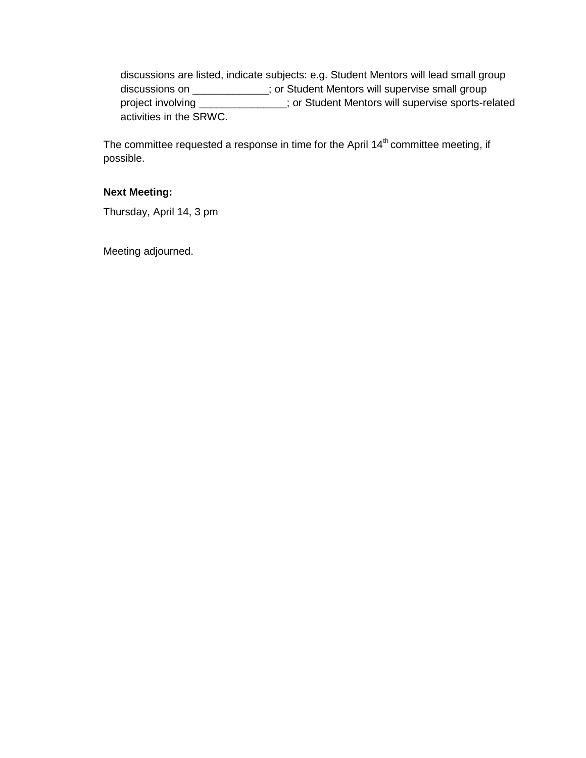discussions are listed, indicate subjects: e.g. Student Mentors will lead small group discussions on \_\_\_\_\_\_\_\_\_\_\_\_\_; or Student Mentors will supervise small group project involving \_\_\_\_\_\_\_\_\_\_\_\_\_\_\_; or Student Mentors will supervise sports-related activities in the SRWC.

The committee requested a response in time for the April 14<sup>th</sup> committee meeting, if possible.

# **Next Meeting:**

Thursday, April 14, 3 pm

Meeting adjourned.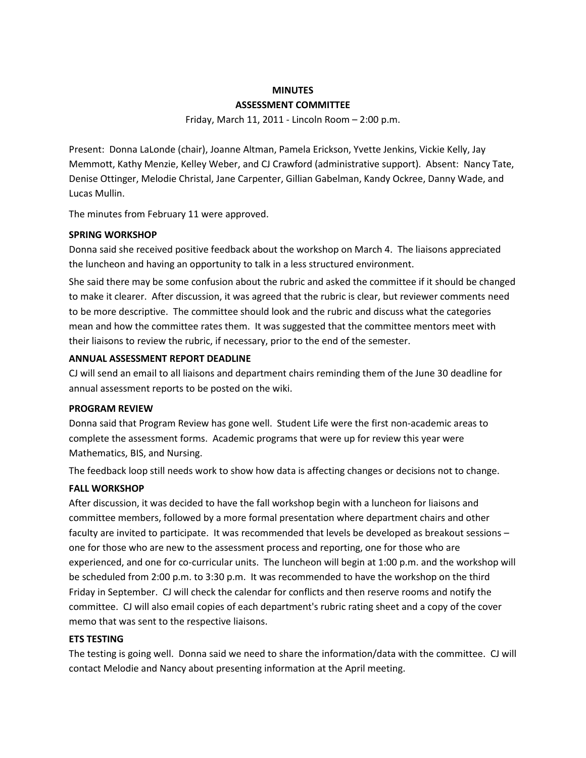### **MINUTES ASSESSMENT COMMITTEE**

Friday, March 11, 2011 - Lincoln Room – 2:00 p.m.

Present: Donna LaLonde (chair), Joanne Altman, Pamela Erickson, Yvette Jenkins, Vickie Kelly, Jay Memmott, Kathy Menzie, Kelley Weber, and CJ Crawford (administrative support). Absent: Nancy Tate, Denise Ottinger, Melodie Christal, Jane Carpenter, Gillian Gabelman, Kandy Ockree, Danny Wade, and Lucas Mullin.

The minutes from February 11 were approved.

### **SPRING WORKSHOP**

Donna said she received positive feedback about the workshop on March 4. The liaisons appreciated the luncheon and having an opportunity to talk in a less structured environment.

She said there may be some confusion about the rubric and asked the committee if it should be changed to make it clearer. After discussion, it was agreed that the rubric is clear, but reviewer comments need to be more descriptive. The committee should look and the rubric and discuss what the categories mean and how the committee rates them. It was suggested that the committee mentors meet with their liaisons to review the rubric, if necessary, prior to the end of the semester.

#### **ANNUAL ASSESSMENT REPORT DEADLINE**

CJ will send an email to all liaisons and department chairs reminding them of the June 30 deadline for annual assessment reports to be posted on the wiki.

#### **PROGRAM REVIEW**

Donna said that Program Review has gone well. Student Life were the first non-academic areas to complete the assessment forms. Academic programs that were up for review this year were Mathematics, BIS, and Nursing.

The feedback loop still needs work to show how data is affecting changes or decisions not to change.

### **FALL WORKSHOP**

After discussion, it was decided to have the fall workshop begin with a luncheon for liaisons and committee members, followed by a more formal presentation where department chairs and other faculty are invited to participate. It was recommended that levels be developed as breakout sessions – one for those who are new to the assessment process and reporting, one for those who are experienced, and one for co-curricular units. The luncheon will begin at 1:00 p.m. and the workshop will be scheduled from 2:00 p.m. to 3:30 p.m. It was recommended to have the workshop on the third Friday in September. CJ will check the calendar for conflicts and then reserve rooms and notify the committee. CJ will also email copies of each department's rubric rating sheet and a copy of the cover memo that was sent to the respective liaisons.

### **ETS TESTING**

The testing is going well. Donna said we need to share the information/data with the committee. CJ will contact Melodie and Nancy about presenting information at the April meeting.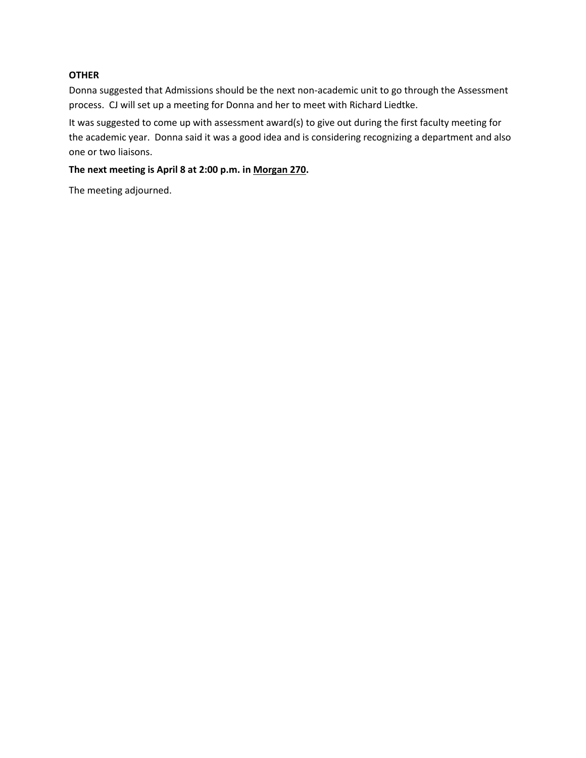### **OTHER**

Donna suggested that Admissions should be the next non-academic unit to go through the Assessment process. CJ will set up a meeting for Donna and her to meet with Richard Liedtke.

It was suggested to come up with assessment award(s) to give out during the first faculty meeting for the academic year. Donna said it was a good idea and is considering recognizing a department and also one or two liaisons.

### **The next meeting is April 8 at 2:00 p.m. in Morgan 270.**

The meeting adjourned.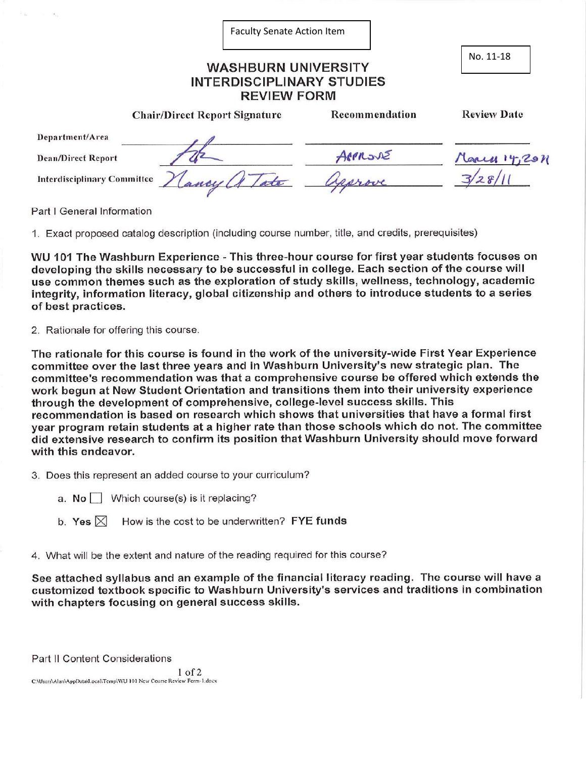|                                    | <b>Faculty Senate Action Item</b>    |                |                    |
|------------------------------------|--------------------------------------|----------------|--------------------|
|                                    | No. 11-18                            |                |                    |
|                                    | <b>Chair/Direct Report Signature</b> | Recommendation | <b>Review Date</b> |
| Department/Area                    |                                      |                |                    |
| <b>Dean/Direct Report</b>          |                                      | APPROVE        | March 14,201       |
| <b>Interdisciplinary Committee</b> | ancy                                 | Jearove        |                    |

Part I General Information

1. Exact proposed catalog description (including course number, title, and credits, prerequisites)

WU 101 The Washburn Experience - This three-hour course for first year students focuses on developing the skills necessary to be successful in college. Each section of the course will use common themes such as the exploration of study skills, wellness, technology, academic integrity, information literacy, global citizenship and others to introduce students to a series of best practices.

2. Rationale for offering this course.

The rationale for this course is found in the work of the university-wide First Year Experience committee over the last three years and in Washburn University's new strategic plan. The committee's recommendation was that a comprehensive course be offered which extends the work begun at New Student Orientation and transitions them into their university experience through the development of comprehensive, college-level success skills. This recommendation is based on research which shows that universities that have a formal first year program retain students at a higher rate than those schools which do not. The committee did extensive research to confirm its position that Washburn University should move forward with this endeavor.

3. Does this represent an added course to your curriculum?

- a.  $No$  Which course(s) is it replacing?
- b. Yes  $\boxtimes$  How is the cost to be underwritten? FYE funds
- 4. What will be the extent and nature of the reading required for this course?

See attached syllabus and an example of the financial literacy reading. The course will have a customized textbook specific to Washburn University's services and traditions in combination with chapters focusing on general success skills.

Part II Content Considerations

 $1$  of  $2$ C:\Users\Alan\AppData\Local\Temp\WU 101 New Course Review Form-1.docx